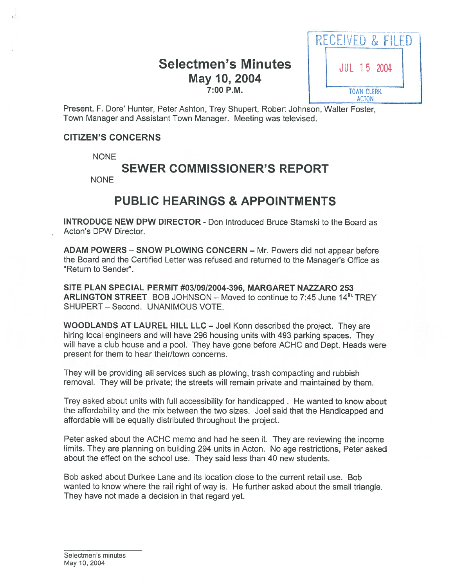# Selectmen's Minutes | JUL 15 2004 7:00 P.M.



Present, F. Dore' Hunter, Peter Ashton, Trey Shupert, Robert Johnson, Walter Foster, Town Manager and Assistant Town Manager. Meeting was televised.

#### CITIZEN'S CONCERNS

**NONE** 

# SEWER COMMISSIONER'S REPORT

**NONE** 

# PUBLIC HEARINGS & APPOINTMENTS

INTRODUCE NEW DPW DIRECTOR - Don introduced Bruce Stamski to the Board as Acton's DPW Director.

ADAM POWERS — SNOW PLOWING CONCERN — Mr. Powers did not appear before the Board and the Certified Letter was refused and returned to the Manager's Office as "Return to Sender".

SITE PLAN SPECIAL PERMIT #03/09/2004-396, MARGARET NAZZARO 253 ARLINGTON STREET BOB JOHNSON - Moved to continue to 7:45 June  $14<sup>th</sup>$  TREY SHUPERT — Second. UNANIMOUS VOTE.

WOODLANDS AT LAUREL HILL LLC — Joel Konn described the project. They are hiring local engineers and will have 296 housing units with 493 parking spaces. They will have <sup>a</sup> club house and <sup>a</sup> pool. They have gone before ACHC and Dept. Heads were presen<sup>t</sup> for them to hear their/town concerns.

They will be providing all services such as plowing, trash compacting and rubbish removal. They will be private; the streets will remain private and maintained by them.

Trey asked about units with full accessibility for handicapped . He wanted to know about the affordability and the mix between the two sizes. Joel said that the Handicapped and affordable will be equally distributed throughout the project.

Peter asked about the ACHC memo and had he seen it. They are reviewing the income limits. They are planning on building 294 units in Acton. No age restrictions, Peter asked about the effect on the school use. They said less than 40 new students.

Bob asked about Durkee Lane and its location close to the current retail use. Bob wanted to know where the rail right of way is. He further asked about the small triangle. They have not made <sup>a</sup> decision in that regard yet.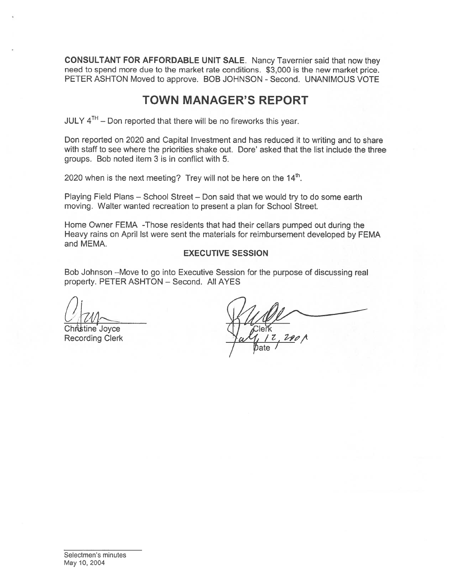CONSULTANT FOR AFFORDABLE UNIT SALE. Nancy Tavernier said that now they need to spend more due to the market rate conditions. \$3,000 is the new market price. PETER ASHTON Moved to approve. BOB JOHNSON - Second. UNANIMOUS VOTE

# TOWN MANAGER'S REPORT

 $JULY 4<sup>TH</sup> - Don reported that there will be no fireworks this year.$ 

Don reported on 2020 and Capital Investment and has reduced it to writing and to share with staff to see where the priorities shake out. Dore' asked that the list include the three groups. Bob noted item 3 is in conflict with 5.

2020 when is the next meeting? Trey will not be here on the  $14<sup>th</sup>$ .

Playing Field Plans — School Street — Don said that we would try to do some earth moving. Walter wanted recreation to presen<sup>t</sup> <sup>a</sup> plan for School Street.

Home Owner FEMA -Those residents that had their cellars pumped out during the Heavy rains on April Ist were sent the materials for reimbursement developed by FEMA and MEMA.

#### EXECUTIVE SESSION

Bob Johnson —Move to go into Executive Session for the purpose of discussing real property. PETER ASHTON — Second. All AYES

istine Joyce Recording Clerk

ate .  $290$   $\wedge$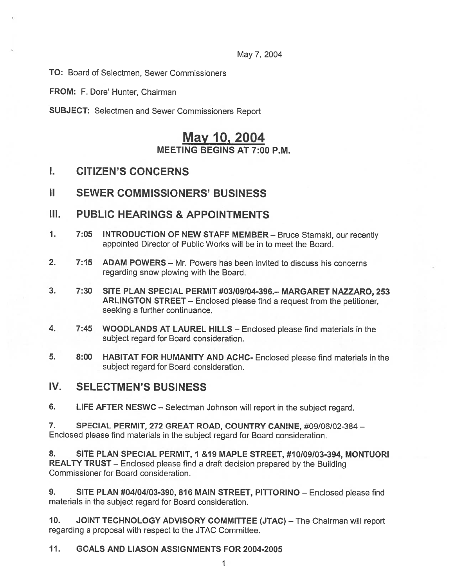May 7, 2004

TO: Board of Selectmen, Sewer Commissioners

FROM: F. Dore' Hunter, Chairman

SUBJECT: Selectmen and Sewer Commissioners Report

# May 10, 2004 MEETING BEGINS AT 7:00 P.M.

I. CITIZEN'S CONCERNS

## **II SEWER COMMISSIONERS' BUSINESS**

## III. PUBLIC HEARINGS & APPOINTMENTS

- 1. 7:05 INTRODUCTION OF NEW STAFF MEMBER Bruce Stamski, our recently appointed Director of Public Works will be in to meet the Board.
- 2. 7:15 ADAM POWERS Mr. Powers has been invited to discuss his concerns regarding snow plowing with the Board.
- 3. 7:30 SITE PLAN SPECIAL PERMIT #03109104-396.— MARGARET NAZZARO, 253 ARLINGTON STREET — Enclosed <sup>p</sup>lease find <sup>a</sup> reques<sup>t</sup> from the petitioner, seeking <sup>a</sup> further continuance.
- 4. 7:45 WOODLANDS AT LAUREL HILLS Enclosed <sup>p</sup>lease find materials in the subject regard for Board consideration.
- 5. 8:00 HABITAT FOR HUMANITY AND ACHC- Enclosed <sup>p</sup>lease find materials in the subject regard for Board consideration.

## IV. SELECTMEN'S BUSINESS

6. LIFE AFTER NESWC — Selectman Johnson will repor<sup>t</sup> in the subject regard.

7. SPECIAL PERMIT, 272 GREAT ROAD, COUNTRY CANINE, #09/06/02-384 — Enclosed <sup>p</sup>lease find materials in the subject regard for Board consideration.

8. SITE PLAN SPECIAL PERMIT, 1 & 19 MAPLE STREET, #10/09/03-394, MONTUORI REALTY TRUST — Enclosed <sup>p</sup>lease find <sup>a</sup> draft decision prepare<sup>d</sup> by the Building Commissioner for Board consideration.

9. SITE PLAN #04/04/03-390, 816 MAIN STREET, PITTORINO - Enclosed please find materials in the subject regard for Board consideration.

10. JOINT TECHNOLOGY ADVISORY COMMITTEE (JTAC) — The Chairman will repor<sup>t</sup> regarding <sup>a</sup> proposal with respec<sup>t</sup> to the JTAC Committee.

#### II. GOALS AND LIASON ASSIGNMENTS FOR 2004-2005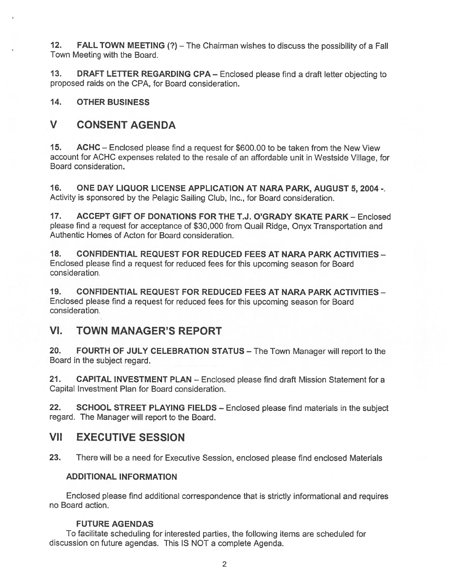12. FALL TOWN MEETING (?) — The Chairman wishes to discuss the possibility of <sup>a</sup> Fall Town Meeting with the Board.

13. DRAFT LETTER REGARDING CPA — Enclosed <sup>p</sup>lease find <sup>a</sup> draft letter objecting to proposed raids on the CPA, for Board consideration.

14. OTHER BUSINESS

# V CONSENT AGENDA

15. ACHC — Enclosed <sup>p</sup>lease find <sup>a</sup> reques<sup>t</sup> for \$600.00 to be taken from the New View account for ACHC expenses related to the resale of an affordable unit in Westside Village, for Board consideration.

16. ONE DAY LIQUOR LICENSE APPLICATION AT NARA PARK, AUGUST 5, 2004 -. Activity is sponsored by the Pelagic Sailing Club, Inc., for Board consideration.

17. ACCEPT GIFT OF DONATIONS FOR THE T.J. O'GRADY SKATE PARK - Enclosed <sup>p</sup>lease find <sup>a</sup> reques<sup>t</sup> for acceptance of \$30,000 from Quail Ridge, Onyx Transportation and Authentic Homes of Acton for Board consideration.

18. CONFIDENTIAL REQUEST FOR REDUCED FEES AT NARA PARK ACTIVITIES — Enclosed <sup>p</sup>lease find <sup>a</sup> reques<sup>t</sup> for reduced fees for this upcoming season for Board consideration.

19. CONFIDENTIAL REQUEST FOR REDUCED FEES AT NARA PARK ACTIVITIES — Enclosed <sup>p</sup>lease find <sup>a</sup> reques<sup>t</sup> for reduced fees for this upcoming season for Board consideration.

## VI. TOWN MANAGER'S REPORT

20. FOURTH OF JULY CELEBRATION STATUS — The Town Manager will repor<sup>t</sup> to the Board in the subject regard.

21. CAPITAL INVESTMENT PLAN - Enclosed please find draft Mission Statement for a Capital Investment Plan for Board consideration.

22. SCHOOL STREET PLAYING FIELDS - Enclosed please find materials in the subject regard. The Manager will repor<sup>t</sup> to the Board.

## VII EXECUTIVE SESSION

23. There will be <sup>a</sup> need for Executive Session, enclosed <sup>p</sup>lease find enclosed Materials

## ADDITIONAL INFORMATION

Enclosed <sup>p</sup>lease find additional correspondence that is strictly informational and requires no Board action.

### FUTURE AGENDAS

To facilitate scheduling for interested parties, the following items are scheduled for discussion on future agendas. This IS NOT <sup>a</sup> complete Agenda.